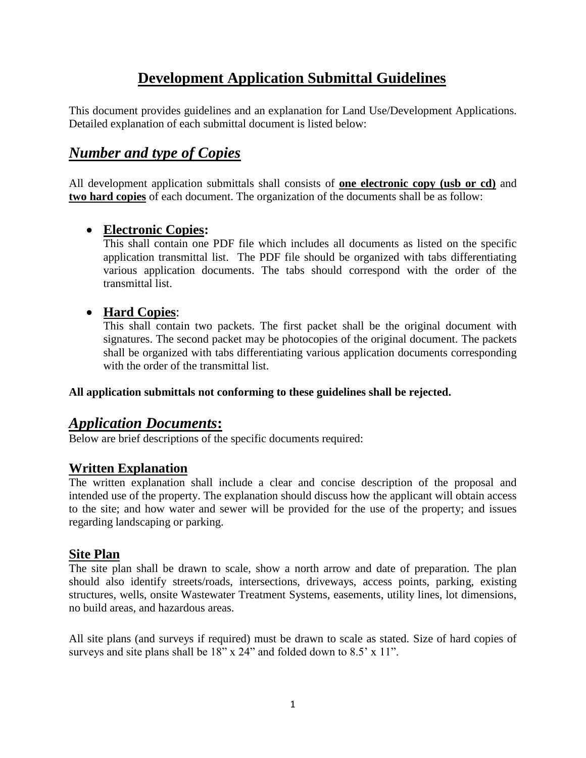# **Development Application Submittal Guidelines**

This document provides guidelines and an explanation for Land Use/Development Applications. Detailed explanation of each submittal document is listed below:

# *Number and type of Copies*

All development application submittals shall consists of **one electronic copy (usb or cd)** and **two hard copies** of each document. The organization of the documents shall be as follow:

#### **Electronic Copies:**

This shall contain one PDF file which includes all documents as listed on the specific application transmittal list. The PDF file should be organized with tabs differentiating various application documents. The tabs should correspond with the order of the transmittal list.

### **Hard Copies**:

This shall contain two packets. The first packet shall be the original document with signatures. The second packet may be photocopies of the original document. The packets shall be organized with tabs differentiating various application documents corresponding with the order of the transmittal list.

#### **All application submittals not conforming to these guidelines shall be rejected.**

## *Application Documents***:**

Below are brief descriptions of the specific documents required:

#### **Written Explanation**

The written explanation shall include a clear and concise description of the proposal and intended use of the property. The explanation should discuss how the applicant will obtain access to the site; and how water and sewer will be provided for the use of the property; and issues regarding landscaping or parking.

#### **Site Plan**

The site plan shall be drawn to scale, show a north arrow and date of preparation. The plan should also identify streets/roads, intersections, driveways, access points, parking, existing structures, wells, onsite Wastewater Treatment Systems, easements, utility lines, lot dimensions, no build areas, and hazardous areas.

All site plans (and surveys if required) must be drawn to scale as stated. Size of hard copies of surveys and site plans shall be 18" x 24" and folded down to 8.5' x 11".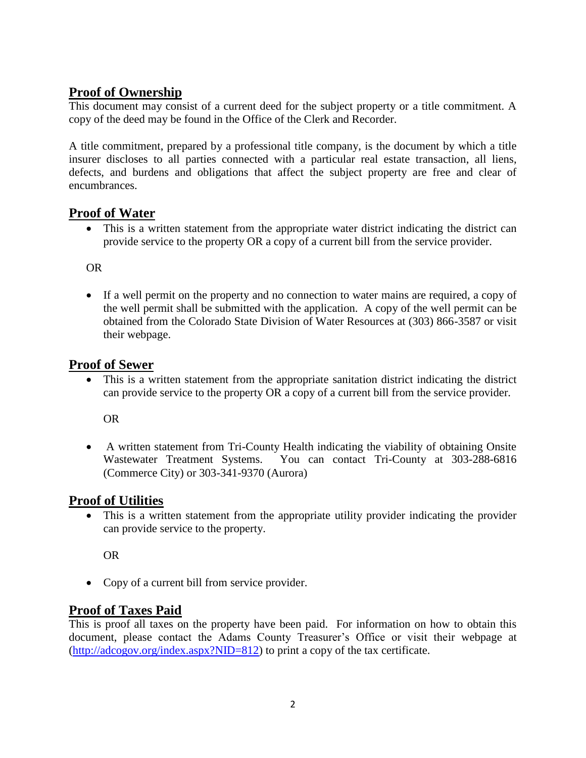## **Proof of Ownership**

This document may consist of a current deed for the subject property or a title commitment. A copy of the deed may be found in the Office of the Clerk and Recorder.

A title commitment, prepared by a professional title company, is the document by which a title insurer discloses to all parties connected with a particular real estate transaction, all liens, defects, and burdens and obligations that affect the subject property are free and clear of encumbrances.

#### **Proof of Water**

 This is a written statement from the appropriate water district indicating the district can provide service to the property OR a copy of a current bill from the service provider.

OR

 If a well permit on the property and no connection to water mains are required, a copy of the well permit shall be submitted with the application. A copy of the well permit can be obtained from the Colorado State Division of Water Resources at (303) 866-3587 or visit their webpage.

#### **Proof of Sewer**

 This is a written statement from the appropriate sanitation district indicating the district can provide service to the property OR a copy of a current bill from the service provider.

OR

 A written statement from Tri-County Health indicating the viability of obtaining Onsite Wastewater Treatment Systems. You can contact Tri-County at 303-288-6816 (Commerce City) or 303-341-9370 (Aurora)

### **Proof of Utilities**

 This is a written statement from the appropriate utility provider indicating the provider can provide service to the property.

OR

• Copy of a current bill from service provider.

## **Proof of Taxes Paid**

This is proof all taxes on the property have been paid. For information on how to obtain this document, please contact the Adams County Treasurer's Office or visit their webpage at [\(http://adcogov.org/index.aspx?NID=812\)](http://adcogov.org/index.aspx?NID=812) to print a copy of the tax certificate.